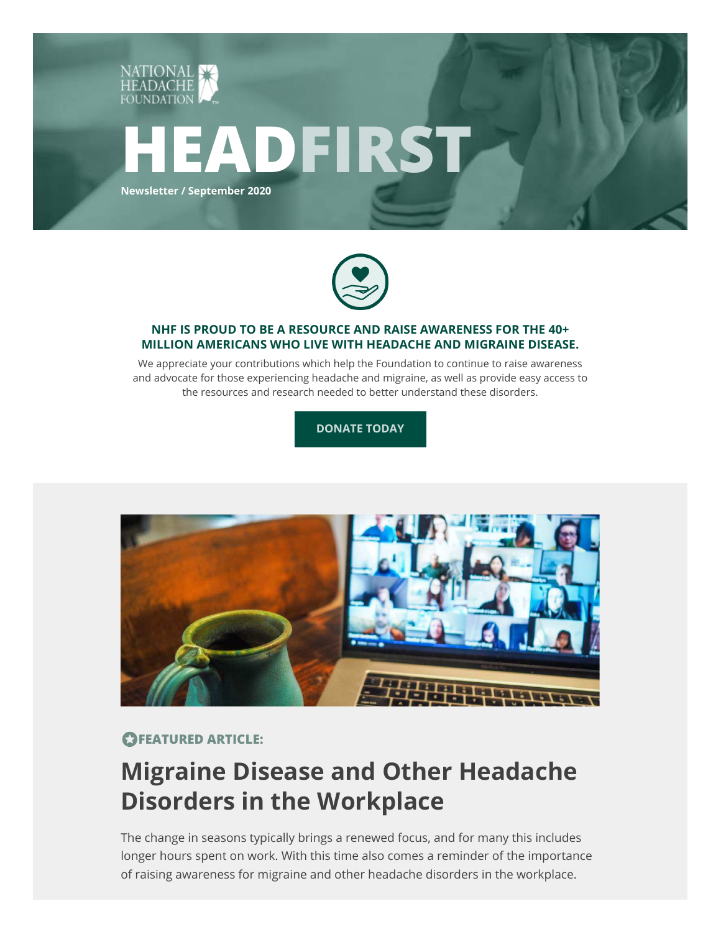



### **NHF IS PROUD TO BE A RESOURCE AND RAISE AWARENESS FOR THE 40+ MILLION AMERICANS WHO LIVE WITH HEADACHE AND MIGRAINE DISEASE.**

We appreciate your contributions which help the Foundation to continue to raise awareness and advocate for those experiencing headache and migraine, as well as provide easy access to the resources and research needed to better understand these disorders.

**DONATE TODAY**



## *<u>OFEATURED ARTICLE:</u>*

# **Migraine Disease and Other Headache Disorders in the Workplace**

The change in seasons typically brings a renewed focus, and for many this includes longer hours spent on work. With this time also comes a reminder of the importance of raising awareness for migraine and other headache disorders in the workplace.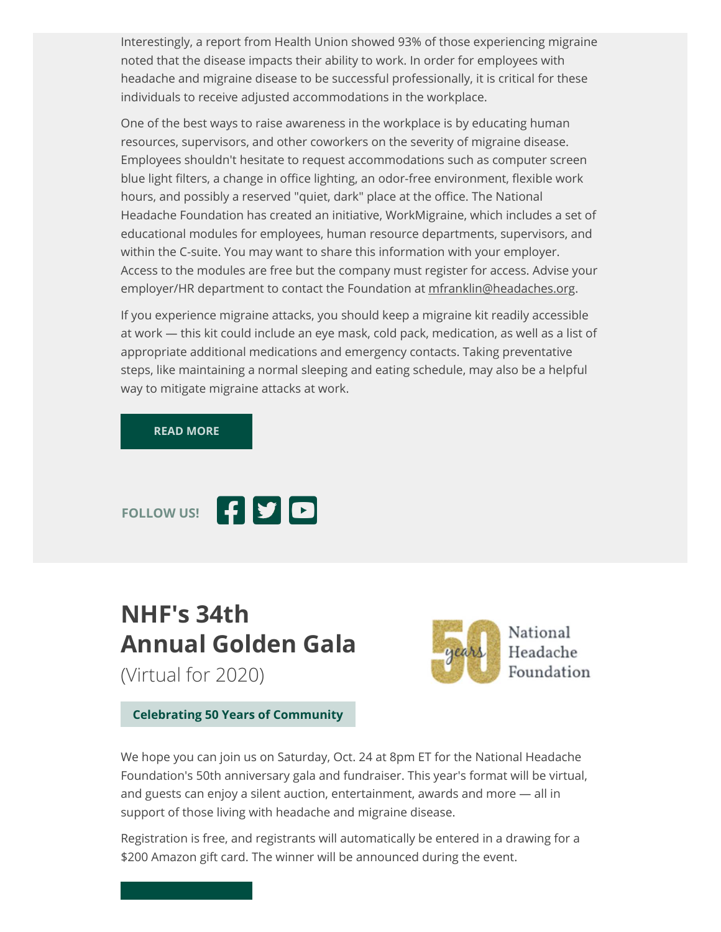Interestingly, a report from Health Union showed 93% of those experiencing migraine noted that the disease impacts their ability to work. In order for employees with headache and migraine disease to be successful professionally, it is critical for these individuals to receive adjusted accommodations in the workplace.

One of the best ways to raise awareness in the workplace is by educating human resources, supervisors, and other coworkers on the severity of migraine disease. Employees shouldn't hesitate to request accommodations such as computer screen blue light filters, a change in office lighting, an odor-free environment, flexible work hours, and possibly a reserved "quiet, dark" place at the office. The National Headache Foundation has created an initiative, WorkMigraine, which includes a set of educational modules for employees, human resource departments, supervisors, and within the C-suite. You may want to share this information with your employer. Access to the modules are free but the company must register for access. Advise your employer/HR department to contact the Foundation at mfranklin@headaches.org.

If you experience migraine attacks, you should keep a migraine kit readily accessible at work — this kit could include an eye mask, cold pack, medication, as well as a list of appropriate additional medications and emergency contacts. Taking preventative steps, like maintaining a normal sleeping and eating schedule, may also be a helpful way to mitigate migraine attacks at work.

#### **READ MORE**



# **NHF's 34th Annual Golden Gala**

(Virtual for 2020)



**Celebrating 50 Years of Community**

We hope you can join us on Saturday, Oct. 24 at 8pm ET for the National Headache Foundation's 50th anniversary gala and fundraiser. This year's format will be virtual, and guests can enjoy a silent auction, entertainment, awards and more — all in support of those living with headache and migraine disease.

Registration is free, and registrants will automatically be entered in a drawing for a \$200 Amazon gift card. The winner will be announced during the event.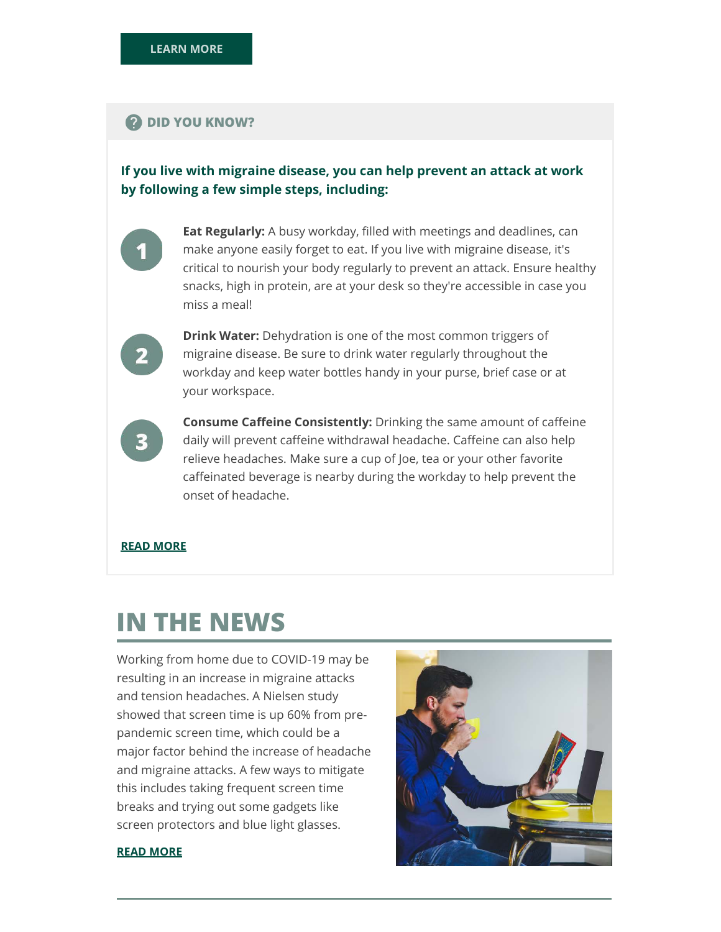### **2** DID YOU KNOW?

## **If you live with migraine disease, you can help prevent an attack at work by following a few simple steps, including:**



**Eat Regularly:** A busy workday, filled with meetings and deadlines, can make anyone easily forget to eat. If you live with migraine disease, it's critical to nourish your body regularly to prevent an attack. Ensure healthy snacks, high in protein, are at your desk so they're accessible in case you miss a meal!



**Drink Water:** Dehydration is one of the most common triggers of migraine disease. Be sure to drink water regularly throughout the workday and keep water bottles handy in your purse, brief case or at your workspace.



**Consume Caffeine Consistently:** Drinking the same amount of caffeine daily will prevent caffeine withdrawal headache. Caffeine can also help relieve headaches. Make sure a cup of Joe, tea or your other favorite caffeinated beverage is nearby during the workday to help prevent the onset of headache.

### **READ MORE**

# **IN THE NEWS**

Working from home due to COVID-19 may be resulting in an increase in migraine attacks and tension headaches. A Nielsen study showed that screen time is up 60% from prepandemic screen time, which could be a major factor behind the increase of headache and migraine attacks. A few ways to mitigate this includes taking frequent screen time breaks and trying out some gadgets like screen protectors and blue light glasses.



#### **READ MORE**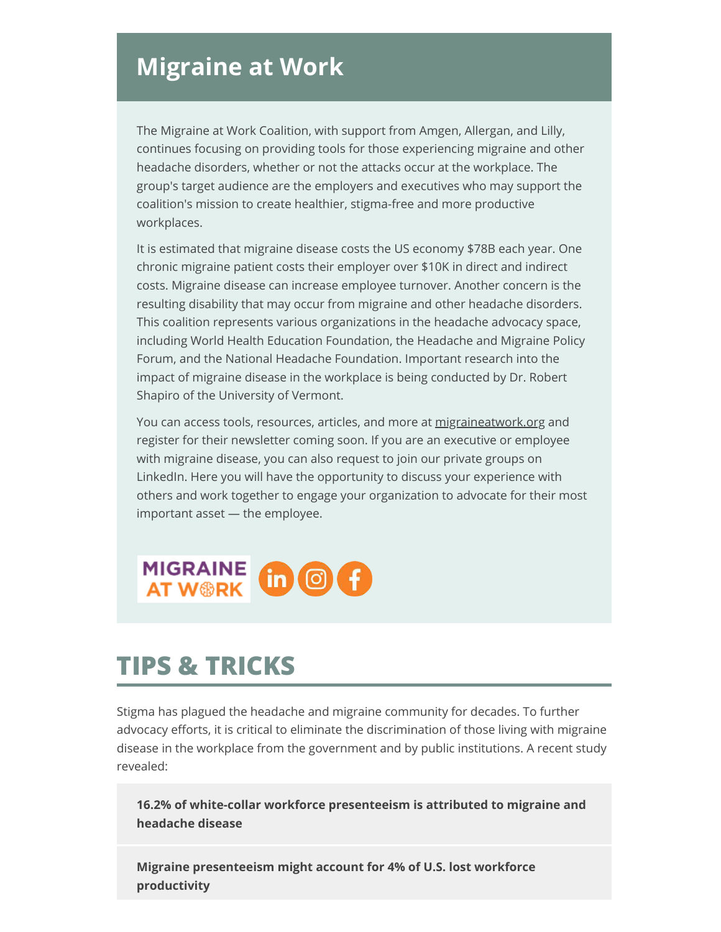## **Migraine at Work**

The Migraine at Work Coalition, with support from Amgen, Allergan, and Lilly, continues focusing on providing tools for those experiencing migraine and other headache disorders, whether or not the attacks occur at the workplace. The group's target audience are the employers and executives who may support the coalition's mission to create healthier, stigma-free and more productive workplaces.

It is estimated that migraine disease costs the US economy \$78B each year. One chronic migraine patient costs their employer over \$10K in direct and indirect costs. Migraine disease can increase employee turnover. Another concern is the resulting disability that may occur from migraine and other headache disorders. This coalition represents various organizations in the headache advocacy space, including World Health Education Foundation, the Headache and Migraine Policy Forum, and the National Headache Foundation. Important research into the impact of migraine disease in the workplace is being conducted by Dr. Robert Shapiro of the University of Vermont.

You can access tools, resources, articles, and more at migraineatwork.org and register for their newsletter coming soon. If you are an executive or employee with migraine disease, you can also request to join our private groups on LinkedIn. Here you will have the opportunity to discuss your experience with others and work together to engage your organization to advocate for their most important asset — the employee.



# **TIPS & TRICKS**

Stigma has plagued the headache and migraine community for decades. To further advocacy efforts, it is critical to eliminate the discrimination of those living with migraine disease in the workplace from the government and by public institutions. A recent study revealed:

**16.2% of white-collar workforce presenteeism is attributed to migraine and headache disease**

**Migraine presenteeism might account for 4% of U.S. lost workforce productivity**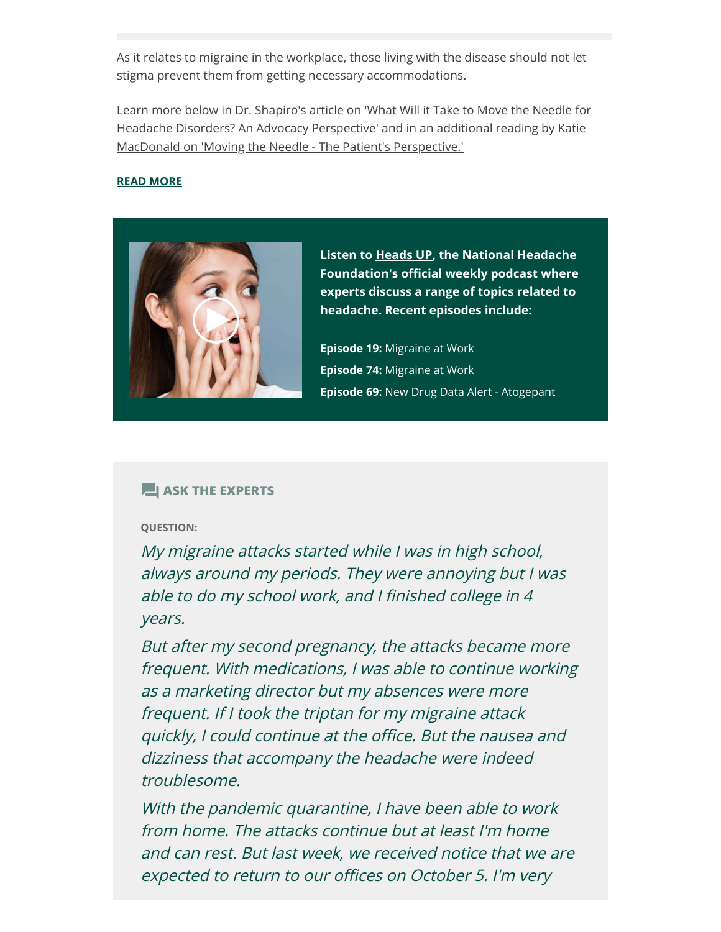As it relates to migraine in the workplace, those living with the disease should not let stigma prevent them from getting necessary accommodations.

Learn more below in Dr. Shapiro's article on 'What Will it Take to Move the Needle for Headache Disorders? An Advocacy Perspective' and in an additional reading by Katie MacDonald on 'Moving the Needle - The Patient's Perspective.'

### **READ MORE**



**Listen to Heads UP, the National Headache Foundation's official weekly podcast where experts discuss a range of topics related to headache. Recent episodes include:**

**Episode 19:** Migraine at Work **Episode 74:** Migraine at Work **Episode 69:** New Drug Data Alert - Atogepant

### **ASK THE EXPERTS**

#### **QUESTION:**

My migraine attacks started while I was in high school, always around my periods. They were annoying but I was able to do my school work, and I finished college in 4 years.

But after my second pregnancy, the attacks became more frequent. With medications, I was able to continue working as a marketing director but my absences were more frequent. If I took the triptan for my migraine attack quickly, I could continue at the office. But the nausea and dizziness that accompany the headache were indeed troublesome.

With the pandemic quarantine, I have been able to work from home. The attacks continue but at least I'm home and can rest. But last week, we received notice that we are expected to return to our offices on October 5. I'm very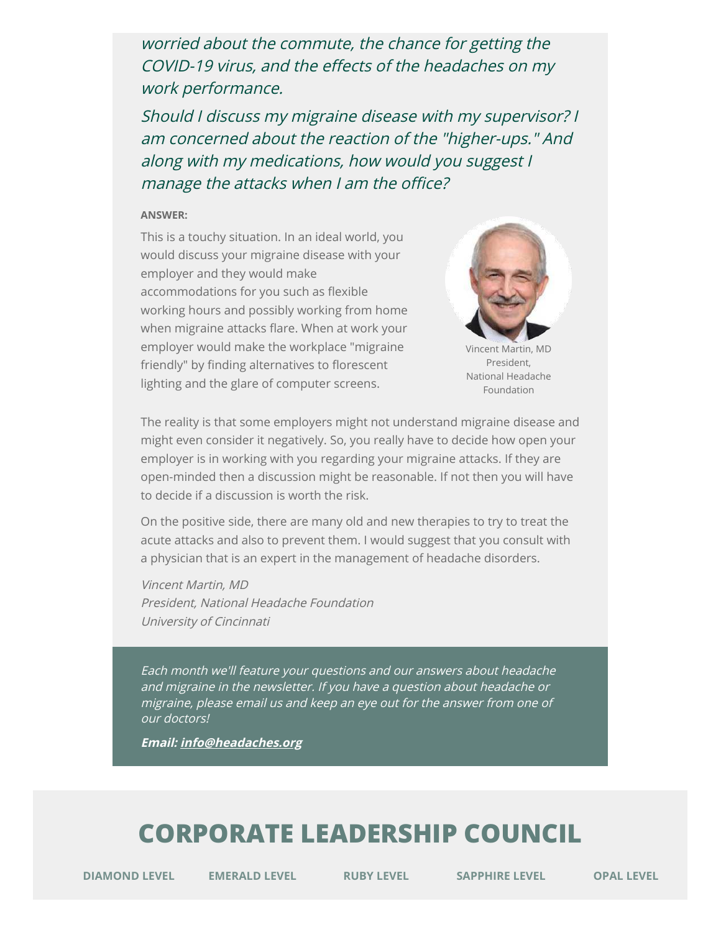worried about the commute, the chance for getting the COVID-19 virus, and the effects of the headaches on my work performance.

Should I discuss my migraine disease with my supervisor? I am concerned about the reaction of the "higher-ups." And along with my medications, how would you suggest I manage the attacks when I am the office?

#### **ANSWER:**

This is a touchy situation. In an ideal world, you would discuss your migraine disease with your employer and they would make accommodations for you such as flexible working hours and possibly working from home when migraine attacks flare. When at work your employer would make the workplace "migraine friendly" by finding alternatives to florescent lighting and the glare of computer screens.



Vincent Martin, MD President, National Headache Foundation

The reality is that some employers might not understand migraine disease and might even consider it negatively. So, you really have to decide how open your employer is in working with you regarding your migraine attacks. If they are open-minded then a discussion might be reasonable. If not then you will have to decide if a discussion is worth the risk.

On the positive side, there are many old and new therapies to try to treat the acute attacks and also to prevent them. I would suggest that you consult with a physician that is an expert in the management of headache disorders.

Vincent Martin, MD President, National Headache Foundation University of Cincinnati

Each month we'll feature your questions and our answers about headache and migraine in the newsletter. If you have a question about headache or migraine, please email us and keep an eye out for the answer from one of our doctors!

**Email: info@headaches.org**

# **CORPORATE LEADERSHIP COUNCIL**

**DIAMOND LEVEL EMERALD LEVEL RUBY LEVEL SAPPHIRE LEVEL OPAL LEVEL**